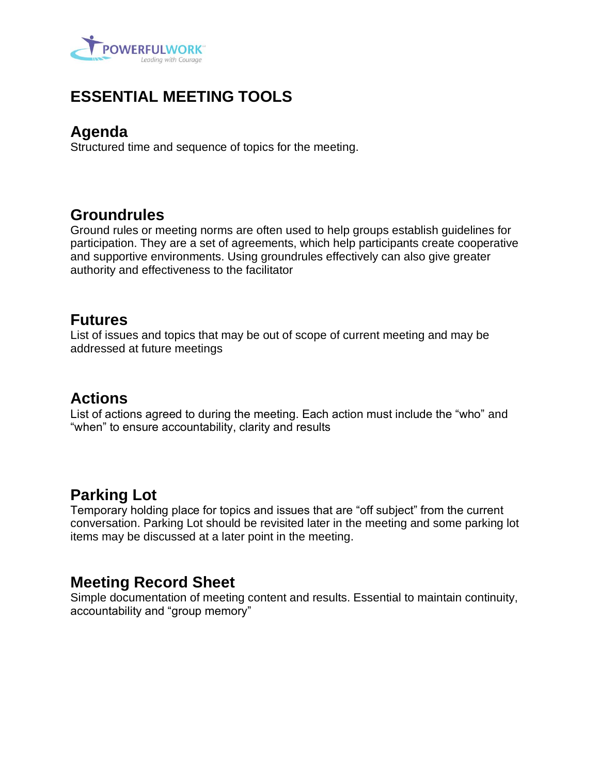

# **ESSENTIAL MEETING TOOLS**

### **Agenda**

Structured time and sequence of topics for the meeting.

## **Groundrules**

Ground rules or meeting norms are often used to help groups establish guidelines for participation. They are a set of agreements, which help participants create cooperative and supportive environments. Using groundrules effectively can also give greater authority and effectiveness to the facilitator

## **Futures**

List of issues and topics that may be out of scope of current meeting and may be addressed at future meetings

## **Actions**

List of actions agreed to during the meeting. Each action must include the "who" and "when" to ensure accountability, clarity and results

## **Parking Lot**

Temporary holding place for topics and issues that are "off subject" from the current conversation. Parking Lot should be revisited later in the meeting and some parking lot items may be discussed at a later point in the meeting.

## **Meeting Record Sheet**

Simple documentation of meeting content and results. Essential to maintain continuity, accountability and "group memory"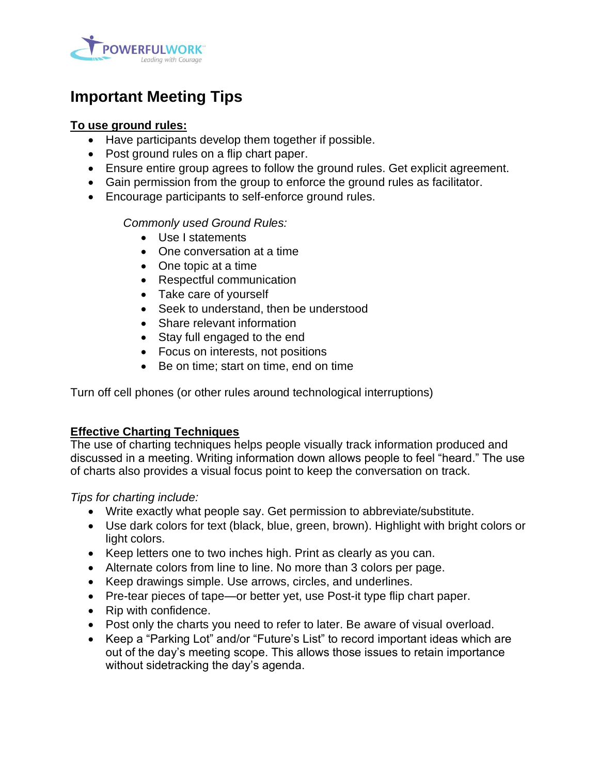

# **Important Meeting Tips**

### **To use ground rules:**

- Have participants develop them together if possible.
- Post ground rules on a flip chart paper.
- Ensure entire group agrees to follow the ground rules. Get explicit agreement.
- Gain permission from the group to enforce the ground rules as facilitator.
- Encourage participants to self-enforce ground rules.

### *Commonly used Ground Rules:*

- Use I statements
- One conversation at a time
- One topic at a time
- Respectful communication
- Take care of yourself
- Seek to understand, then be understood
- Share relevant information
- Stay full engaged to the end
- Focus on interests, not positions
- Be on time; start on time, end on time

Turn off cell phones (or other rules around technological interruptions)

### **Effective Charting Techniques**

The use of charting techniques helps people visually track information produced and discussed in a meeting. Writing information down allows people to feel "heard." The use of charts also provides a visual focus point to keep the conversation on track.

*Tips for charting include:*

- Write exactly what people say. Get permission to abbreviate/substitute.
- Use dark colors for text (black, blue, green, brown). Highlight with bright colors or light colors.
- Keep letters one to two inches high. Print as clearly as you can.
- Alternate colors from line to line. No more than 3 colors per page.
- Keep drawings simple. Use arrows, circles, and underlines.
- Pre-tear pieces of tape—or better yet, use Post-it type flip chart paper.
- Rip with confidence.
- Post only the charts you need to refer to later. Be aware of visual overload.
- Keep a "Parking Lot" and/or "Future's List" to record important ideas which are out of the day's meeting scope. This allows those issues to retain importance without sidetracking the day's agenda.